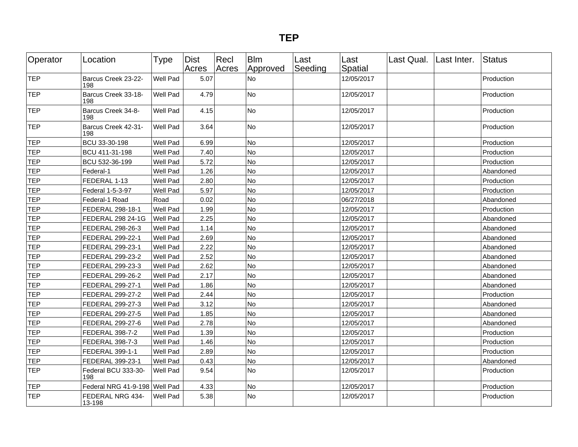| Operator   | Location                      | <b>Type</b> | <b>Dist</b><br>Acres | Recl<br>Acres | <b>Blm</b><br>Approved | Last<br>Seeding | Last<br>Spatial | Last Qual. Last Inter. | Status     |
|------------|-------------------------------|-------------|----------------------|---------------|------------------------|-----------------|-----------------|------------------------|------------|
| <b>TEP</b> | Barcus Creek 23-22-<br>198    | Well Pad    | 5.07                 |               | <b>No</b>              |                 | 12/05/2017      |                        | Production |
| TEP        | Barcus Creek 33-18-<br>198    | Well Pad    | 4.79                 |               | No                     |                 | 12/05/2017      |                        | Production |
| TEP        | Barcus Creek 34-8-<br>198     | Well Pad    | 4.15                 |               | No                     |                 | 12/05/2017      |                        | Production |
| <b>TEP</b> | Barcus Creek 42-31-<br>198    | Well Pad    | 3.64                 |               | No                     |                 | 12/05/2017      |                        | Production |
| <b>TEP</b> | BCU 33-30-198                 | Well Pad    | 6.99                 |               | No                     |                 | 12/05/2017      |                        | Production |
| <b>TEP</b> | BCU 411-31-198                | Well Pad    | 7.40                 |               | No                     |                 | 12/05/2017      |                        | Production |
| <b>TEP</b> | BCU 532-36-199                | Well Pad    | 5.72                 |               | No                     |                 | 12/05/2017      |                        | Production |
| <b>TEP</b> | Federal-1                     | Well Pad    | 1.26                 |               | No                     |                 | 12/05/2017      |                        | Abandoned  |
| <b>TEP</b> | FEDERAL 1-13                  | Well Pad    | 2.80                 |               | No                     |                 | 12/05/2017      |                        | Production |
| <b>TEP</b> | Federal 1-5-3-97              | Well Pad    | 5.97                 |               | No                     |                 | 12/05/2017      |                        | Production |
| <b>TEP</b> | Federal-1 Road                | Road        | 0.02                 |               | <b>No</b>              |                 | 06/27/2018      |                        | Abandoned  |
| <b>TEP</b> | FEDERAL 298-18-1              | Well Pad    | 1.99                 |               | <b>No</b>              |                 | 12/05/2017      |                        | Production |
| <b>TEP</b> | FEDERAL 298 24-1G             | Well Pad    | 2.25                 |               | No                     |                 | 12/05/2017      |                        | Abandoned  |
| <b>TEP</b> | FEDERAL 298-26-3              | Well Pad    | 1.14                 |               | No                     |                 | 12/05/2017      |                        | Abandoned  |
| <b>TEP</b> | FEDERAL 299-22-1              | Well Pad    | 2.69                 |               | <b>No</b>              |                 | 12/05/2017      |                        | Abandoned  |
| <b>TEP</b> | FEDERAL 299-23-1              | Well Pad    | 2.22                 |               | <b>No</b>              |                 | 12/05/2017      |                        | Abandoned  |
| <b>TEP</b> | FEDERAL 299-23-2              | Well Pad    | 2.52                 |               | <b>No</b>              |                 | 12/05/2017      |                        | Abandoned  |
| TEP        | FEDERAL 299-23-3              | Well Pad    | 2.62                 |               | No                     |                 | 12/05/2017      |                        | Abandoned  |
| <b>TEP</b> | FEDERAL 299-26-2              | Well Pad    | 2.17                 |               | <b>No</b>              |                 | 12/05/2017      |                        | Abandoned  |
| <b>TEP</b> | FEDERAL 299-27-1              | Well Pad    | 1.86                 |               | <b>No</b>              |                 | 12/05/2017      |                        | Abandoned  |
| <b>TEP</b> | FEDERAL 299-27-2              | Well Pad    | 2.44                 |               | No                     |                 | 12/05/2017      |                        | Production |
| <b>TEP</b> | FEDERAL 299-27-3              | Well Pad    | 3.12                 |               | No                     |                 | 12/05/2017      |                        | Abandoned  |
| TEP        | FEDERAL 299-27-5              | Well Pad    | 1.85                 |               | <b>No</b>              |                 | 12/05/2017      |                        | Abandoned  |
| <b>TEP</b> | FEDERAL 299-27-6              | Well Pad    | 2.78                 |               | No                     |                 | 12/05/2017      |                        | Abandoned  |
| <b>TEP</b> | FEDERAL 398-7-2               | Well Pad    | 1.39                 |               | <b>No</b>              |                 | 12/05/2017      |                        | Production |
| <b>TEP</b> | FEDERAL 398-7-3               | Well Pad    | 1.46                 |               | <b>No</b>              |                 | 12/05/2017      |                        | Production |
| <b>TEP</b> | FEDERAL 399-1-1               | Well Pad    | 2.89                 |               | No                     |                 | 12/05/2017      |                        | Production |
| <b>TEP</b> | FEDERAL 399-23-1              | Well Pad    | 0.43                 |               | <b>No</b>              |                 | 12/05/2017      |                        | Abandoned  |
| <b>TEP</b> | Federal BCU 333-30-<br>198    | Well Pad    | 9.54                 |               | No                     |                 | 12/05/2017      |                        | Production |
| <b>TEP</b> | Federal NRG 41-9-198 Well Pad |             | 4.33                 |               | <b>No</b>              |                 | 12/05/2017      |                        | Production |
| <b>TEP</b> | FEDERAL NRG 434-<br>13-198    | Well Pad    | 5.38                 |               | No                     |                 | 12/05/2017      |                        | Production |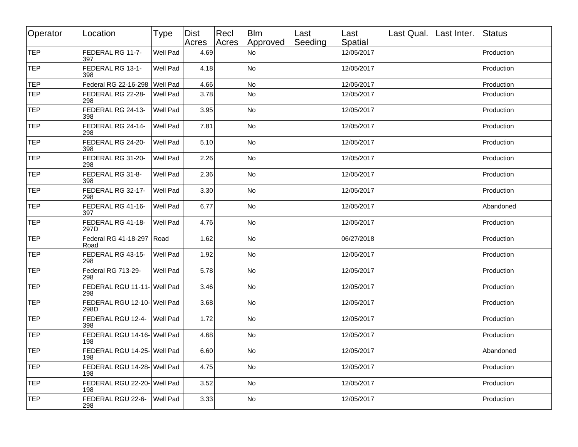| Operator   | Location                            | <b>Type</b>     | Dist<br>Acres | Recl<br>Acres | <b>Blm</b><br>Approved | Last<br>Seeding | Last<br>Spatial | Last Qual. Last Inter. | <b>Status</b> |
|------------|-------------------------------------|-----------------|---------------|---------------|------------------------|-----------------|-----------------|------------------------|---------------|
| <b>TEP</b> | FEDERAL RG 11-7-<br>397.            | Well Pad        | 4.69          |               | <b>No</b>              |                 | 12/05/2017      |                        | Production    |
| TEP        | FEDERAL RG 13-1-<br>398             | <b>Well Pad</b> | 4.18          |               | No                     |                 | 12/05/2017      |                        | Production    |
| <b>TEP</b> | Federal RG 22-16-298 Well Pad       |                 | 4.66          |               | No                     |                 | 12/05/2017      |                        | Production    |
| TEP        | FEDERAL RG 22-28-<br>298            | <b>Well Pad</b> | 3.78          |               | No                     |                 | 12/05/2017      |                        | Production    |
| TEP        | FEDERAL RG 24-13-<br>398            | <b>Well Pad</b> | 3.95          |               | <b>No</b>              |                 | 12/05/2017      |                        | Production    |
| TEP        | FEDERAL RG 24-14-<br>298            | <b>Well Pad</b> | 7.81          |               | <b>No</b>              |                 | 12/05/2017      |                        | Production    |
| TEP        | FEDERAL RG 24-20-<br>398            | Well Pad        | 5.10          |               | <b>No</b>              |                 | 12/05/2017      |                        | Production    |
| <b>TEP</b> | FEDERAL RG 31-20-<br>298            | Well Pad        | 2.26          |               | <b>No</b>              |                 | 12/05/2017      |                        | Production    |
| TEP        | FEDERAL RG 31-8-<br>398             | Well Pad        | 2.36          |               | <b>No</b>              |                 | 12/05/2017      |                        | Production    |
| <b>TEP</b> | FEDERAL RG 32-17-<br>298            | <b>Well Pad</b> | 3.30          |               | <b>No</b>              |                 | 12/05/2017      |                        | Production    |
| TEP        | FEDERAL RG 41-16-<br>397.           | <b>Well Pad</b> | 6.77          |               | <b>No</b>              |                 | 12/05/2017      |                        | Abandoned     |
| TEP        | FEDERAL RG 41-18-<br>297D           | <b>Well Pad</b> | 4.76          |               | <b>No</b>              |                 | 12/05/2017      |                        | Production    |
| TEP        | Federal RG 41-18-297   Road<br>Road |                 | 1.62          |               | <b>No</b>              |                 | 06/27/2018      |                        | Production    |
| <b>TEP</b> | FEDERAL RG 43-15-<br>298            | <b>Well Pad</b> | 1.92          |               | <b>No</b>              |                 | 12/05/2017      |                        | Production    |
| TEP        | Federal RG 713-29-<br>298           | <b>Well Pad</b> | 5.78          |               | No                     |                 | 12/05/2017      |                        | Production    |
| <b>TEP</b> | FEDERAL RGU 11-11- Well Pad<br>298  |                 | 3.46          |               | <b>No</b>              |                 | 12/05/2017      |                        | Production    |
| TEP        | FEDERAL RGU 12-10- Well Pad<br>298D |                 | 3.68          |               | <b>No</b>              |                 | 12/05/2017      |                        | Production    |
| TEP        | FEDERAL RGU 12-4- Well Pad<br>398   |                 | 1.72          |               | <b>No</b>              |                 | 12/05/2017      |                        | Production    |
| TEP        | FEDERAL RGU 14-16- Well Pad<br>198  |                 | 4.68          |               | <b>No</b>              |                 | 12/05/2017      |                        | Production    |
| <b>TEP</b> | FEDERAL RGU 14-25- Well Pad<br>198  |                 | 6.60          |               | No                     |                 | 12/05/2017      |                        | Abandoned     |
| TEP        | FEDERAL RGU 14-28- Well Pad<br>198  |                 | 4.75          |               | No                     |                 | 12/05/2017      |                        | Production    |
| TEP        | FEDERAL RGU 22-20- Well Pad<br>198  |                 | 3.52          |               | No                     |                 | 12/05/2017      |                        | Production    |
| TEP        | FEDERAL RGU 22-6-<br>298            | Well Pad        | 3.33          |               | No                     |                 | 12/05/2017      |                        | Production    |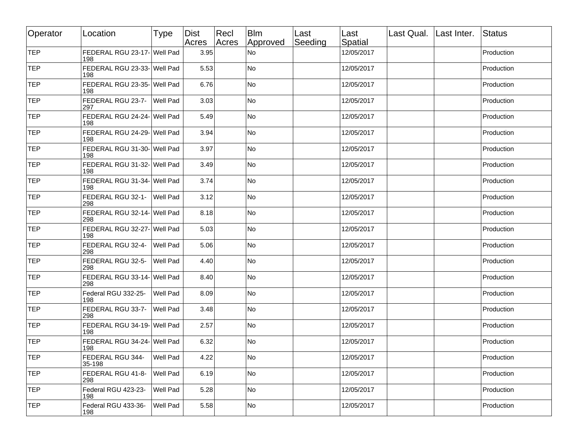| Operator        | Location                            | Type     | Dist<br>Acres | Recl<br>Acres | <b>Blm</b><br>Approved | Last<br>Seeding | ∣Last<br>Spatial | Last Qual. Last Inter. | Status     |
|-----------------|-------------------------------------|----------|---------------|---------------|------------------------|-----------------|------------------|------------------------|------------|
| TEP             | FEDERAL RGU 23-17- Well Pad<br>198  |          | 3.95          |               | N <sub>o</sub>         |                 | 12/05/2017       |                        | Production |
| TEP <sup></sup> | FEDERAL RGU 23-33- Well Pad<br>198  |          | 5.53          |               | <b>No</b>              |                 | 12/05/2017       |                        | Production |
| TEP             | FEDERAL RGU 23-35- Well Pad<br>198  |          | 6.76          |               | <b>No</b>              |                 | 12/05/2017       |                        | Production |
| TEP             | FEDERAL RGU 23-7- Well Pad<br>297   |          | 3.03          |               | <b>No</b>              |                 | 12/05/2017       |                        | Production |
| TEP             | FEDERAL RGU 24-24- Well Pad<br>198  |          | 5.49          |               | <b>No</b>              |                 | 12/05/2017       |                        | Production |
| TEP             | FEDERAL RGU 24-29- Well Pad<br>198  |          | 3.94          |               | <b>No</b>              |                 | 12/05/2017       |                        | Production |
| TEP             | FEDERAL RGU 31-30- Well Pad<br>198  |          | 3.97          |               | No                     |                 | 12/05/2017       |                        | Production |
| TEP             | FEDERAL RGU 31-32- Well Pad<br>198  |          | 3.49          |               | <b>No</b>              |                 | 12/05/2017       |                        | Production |
| TEP             | FEDERAL RGU 31-34- Well Pad<br>198  |          | 3.74          |               | <b>No</b>              |                 | 12/05/2017       |                        | Production |
| TEP             | FEDERAL RGU 32-1- Well Pad<br>298   |          | 3.12          |               | <b>No</b>              |                 | 12/05/2017       |                        | Production |
| TEP             | FEDERAL RGU 32-14- Well Pad<br> 298 |          | 8.18          |               | <b>No</b>              |                 | 12/05/2017       |                        | Production |
| TEP             | FEDERAL RGU 32-27- Well Pad<br> 198 |          | 5.03          |               | <b>No</b>              |                 | 12/05/2017       |                        | Production |
| <b>TEP</b>      | FEDERAL RGU 32-4- Well Pad<br>298   |          | 5.06          |               | No                     |                 | 12/05/2017       |                        | Production |
| TEP             | FEDERAL RGU 32-5-<br>298            | Well Pad | 4.40          |               | <b>No</b>              |                 | 12/05/2017       |                        | Production |
| TEP             | FEDERAL RGU 33-14- Well Pad<br>298  |          | 8.40          |               | <b>No</b>              |                 | 12/05/2017       |                        | Production |
| TEP             | Federal RGU 332-25-<br>198          | Well Pad | 8.09          |               | No                     |                 | 12/05/2017       |                        | Production |
| TEP             | FEDERAL RGU 33-7- Well Pad<br> 298  |          | 3.48          |               | <b>No</b>              |                 | 12/05/2017       |                        | Production |
| TEP             | FEDERAL RGU 34-19- Well Pad<br> 198 |          | 2.57          |               | <b>No</b>              |                 | 12/05/2017       |                        | Production |
| TEP             | FEDERAL RGU 34-24- Well Pad<br>198  |          | 6.32          |               | <b>No</b>              |                 | 12/05/2017       |                        | Production |
| <b>TEP</b>      | FEDERAL RGU 344-<br>35-198          | Well Pad | 4.22          |               | No                     |                 | 12/05/2017       |                        | Production |
| TEP             | FEDERAL RGU 41-8-<br> 298           | Well Pad | 6.19          |               | No                     |                 | 12/05/2017       |                        | Production |
| TEP             | Federal RGU 423-23-<br>198          | Well Pad | 5.28          |               | <b>No</b>              |                 | 12/05/2017       |                        | Production |
| TEP             | Federal RGU 433-36-<br>198          | Well Pad | 5.58          |               | <b>No</b>              |                 | 12/05/2017       |                        | Production |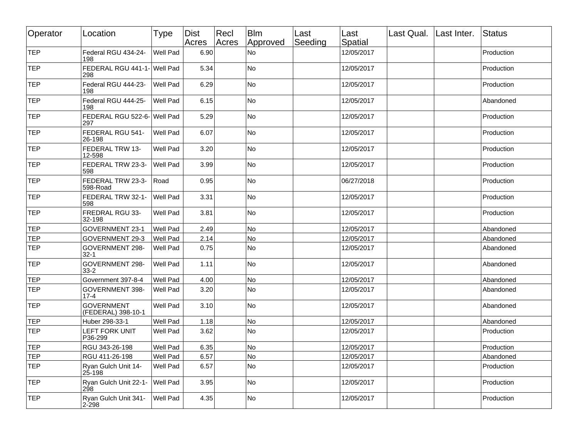| Operator   | Location                                | <b>Type</b>     | Dist<br>Acres | Recl<br>Acres | <b>Blm</b><br>Approved | Last<br>Seeding | Last<br>Spatial | Last Qual.   Last Inter. | Status     |
|------------|-----------------------------------------|-----------------|---------------|---------------|------------------------|-----------------|-----------------|--------------------------|------------|
| TEP        | Federal RGU 434-24-<br>198              | Well Pad        | 6.90          |               | <b>No</b>              |                 | 12/05/2017      |                          | Production |
| TEP        | FEDERAL RGU 441-1- Well Pad<br>298      |                 | 5.34          |               | No                     |                 | 12/05/2017      |                          | Production |
| TEP        | Federal RGU 444-23-<br>198              | Well Pad        | 6.29          |               | <b>No</b>              |                 | 12/05/2017      |                          | Production |
| <b>TEP</b> | Federal RGU 444-25-<br>198              | Well Pad        | 6.15          |               | <b>No</b>              |                 | 12/05/2017      |                          | Abandoned  |
| TEP        | FEDERAL RGU 522-6- Well Pad<br>297      |                 | 5.29          |               | No                     |                 | 12/05/2017      |                          | Production |
| TEP        | FEDERAL RGU 541-<br>26-198              | Well Pad        | 6.07          |               | <b>No</b>              |                 | 12/05/2017      |                          | Production |
| TEP        | <b>FEDERAL TRW 13-</b><br>12-598        | <b>Well Pad</b> | 3.20          |               | No                     |                 | 12/05/2017      |                          | Production |
| TEP        | FEDERAL TRW 23-3-<br>598                | Well Pad        | 3.99          |               | No                     |                 | 12/05/2017      |                          | Production |
| TEP        | FEDERAL TRW 23-3-<br>598-Road           | Road            | 0.95          |               | <b>No</b>              |                 | 06/27/2018      |                          | Production |
| <b>TEP</b> | FEDERAL TRW 32-1-<br>598                | Well Pad        | 3.31          |               | No                     |                 | 12/05/2017      |                          | Production |
| TEP        | FREDRAL RGU 33-<br>32-198               | Well Pad        | 3.81          |               | No                     |                 | 12/05/2017      |                          | Production |
| TEP        | GOVERNMENT 23-1                         | Well Pad        | 2.49          |               | No                     |                 | 12/05/2017      |                          | Abandoned  |
| TEP        | GOVERNMENT 29-3                         | Well Pad        | 2.14          |               | No                     |                 | 12/05/2017      |                          | Abandoned  |
| TEP        | <b>GOVERNMENT 298-</b><br>32-1          | Well Pad        | 0.75          |               | No                     |                 | 12/05/2017      |                          | Abandoned  |
| TEP        | <b>GOVERNMENT 298-</b><br>33-2          | Well Pad        | 1.11          |               | <b>No</b>              |                 | 12/05/2017      |                          | Abandoned  |
| TEP        | Government 397-8-4                      | Well Pad        | 4.00          |               | No                     |                 | 12/05/2017      |                          | Abandoned  |
| TEP        | <b>GOVERNMENT 398-</b><br>$17 - 4$      | Well Pad        | 3.20          |               | No                     |                 | 12/05/2017      |                          | Abandoned  |
| TEP        | <b>GOVERNMENT</b><br>(FEDERAL) 398-10-1 | Well Pad        | 3.10          |               | No                     |                 | 12/05/2017      |                          | Abandoned  |
| TEP        | Huber 298-33-1                          | Well Pad        | 1.18          |               | No                     |                 | 12/05/2017      |                          | Abandoned  |
| TEP        | <b>LEFT FORK UNIT</b><br>P36-299        | Well Pad        | 3.62          |               | No                     |                 | 12/05/2017      |                          | Production |
| TEP        | RGU 343-26-198                          | Well Pad        | 6.35          |               | No                     |                 | 12/05/2017      |                          | Production |
| TEP        | RGU 411-26-198                          | Well Pad        | 6.57          |               | No                     |                 | 12/05/2017      |                          | Abandoned  |
| TEP        | Ryan Gulch Unit 14-<br>25-198           | Well Pad        | 6.57          |               | No                     |                 | 12/05/2017      |                          | Production |
| TEP        | Ryan Gulch Unit 22-1-<br>298            | Well Pad        | 3.95          |               | No                     |                 | 12/05/2017      |                          | Production |
| TEP        | Ryan Gulch Unit 341-<br>$2 - 298$       | Well Pad        | 4.35          |               | No                     |                 | 12/05/2017      |                          | Production |